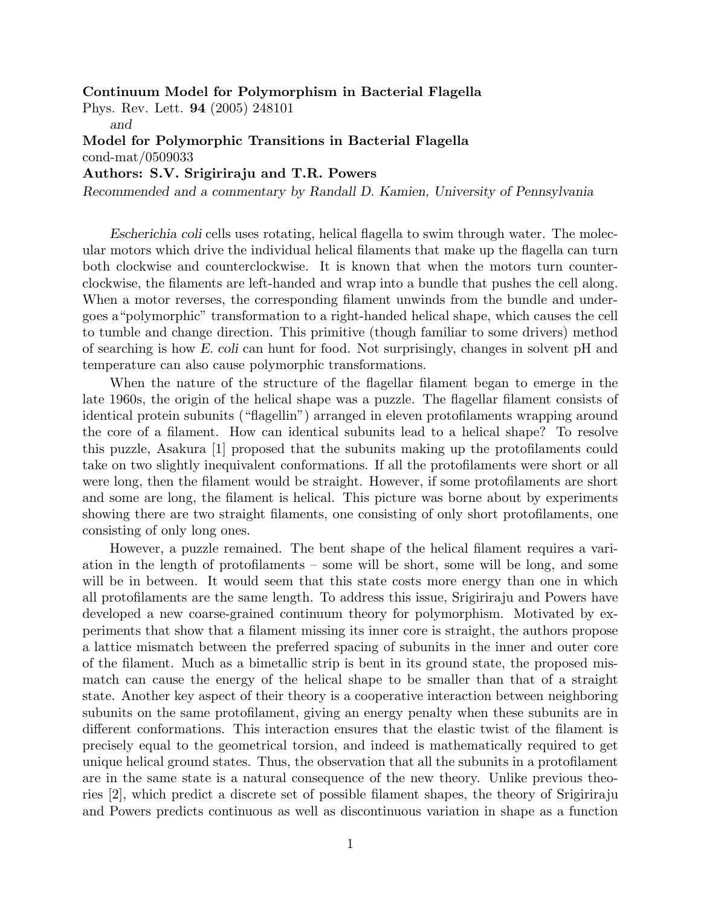Continuum Model for Polymorphism in Bacterial Flagella

Phys. Rev. Lett. 94 (2005) 248101

and

Model for Polymorphic Transitions in Bacterial Flagella cond-mat/0509033

Authors: S.V. Srigiriraju and T.R. Powers

Recommended and a commentary by Randall D. Kamien, University of Pennsylvania

Escherichia coli cells uses rotating, helical flagella to swim through water. The molecular motors which drive the individual helical filaments that make up the flagella can turn both clockwise and counterclockwise. It is known that when the motors turn counterclockwise, the filaments are left-handed and wrap into a bundle that pushes the cell along. When a motor reverses, the corresponding filament unwinds from the bundle and undergoes a"polymorphic" transformation to a right-handed helical shape, which causes the cell to tumble and change direction. This primitive (though familiar to some drivers) method of searching is how E. coli can hunt for food. Not surprisingly, changes in solvent pH and temperature can also cause polymorphic transformations.

When the nature of the structure of the flagellar filament began to emerge in the late 1960s, the origin of the helical shape was a puzzle. The flagellar filament consists of identical protein subunits ("flagellin") arranged in eleven protofilaments wrapping around the core of a filament. How can identical subunits lead to a helical shape? To resolve this puzzle, Asakura [1] proposed that the subunits making up the protofilaments could take on two slightly inequivalent conformations. If all the protofilaments were short or all were long, then the filament would be straight. However, if some protofilaments are short and some are long, the filament is helical. This picture was borne about by experiments showing there are two straight filaments, one consisting of only short protofilaments, one consisting of only long ones.

However, a puzzle remained. The bent shape of the helical filament requires a variation in the length of protofilaments – some will be short, some will be long, and some will be in between. It would seem that this state costs more energy than one in which all protofilaments are the same length. To address this issue, Srigiriraju and Powers have developed a new coarse-grained continuum theory for polymorphism. Motivated by experiments that show that a filament missing its inner core is straight, the authors propose a lattice mismatch between the preferred spacing of subunits in the inner and outer core of the filament. Much as a bimetallic strip is bent in its ground state, the proposed mismatch can cause the energy of the helical shape to be smaller than that of a straight state. Another key aspect of their theory is a cooperative interaction between neighboring subunits on the same protofilament, giving an energy penalty when these subunits are in different conformations. This interaction ensures that the elastic twist of the filament is precisely equal to the geometrical torsion, and indeed is mathematically required to get unique helical ground states. Thus, the observation that all the subunits in a protofilament are in the same state is a natural consequence of the new theory. Unlike previous theories [2], which predict a discrete set of possible filament shapes, the theory of Srigiriraju and Powers predicts continuous as well as discontinuous variation in shape as a function